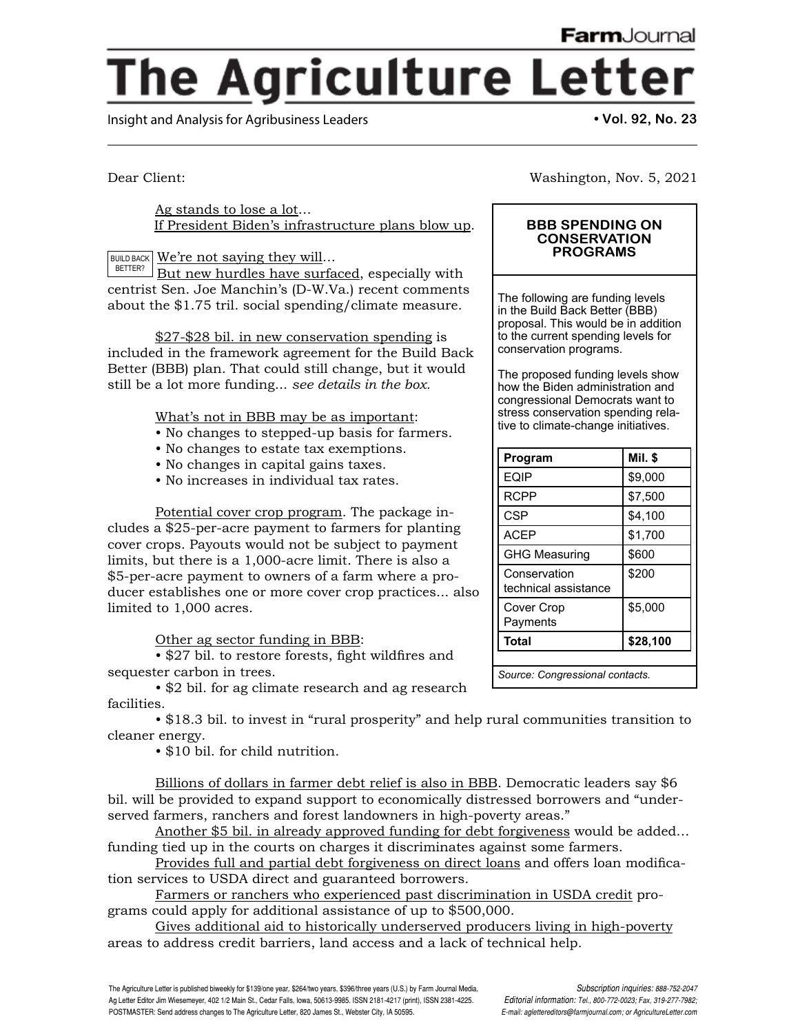Washington, Nov. 5, 2021

**BBB SPENDING ON CONSERVATION PROGRAMS**

The following are funding levels in the Build Back Better (BBB) proposal. This would be in addition to the current spending levels for

The proposed funding levels show how the Biden administration and congressional Democrats want to stress conservation spending relative to climate-change initiatives.

**Program Mil. \$**  $EQIP$   $|$  \$9,000 RCPP | \$7,500  $CSP$   $| $4,100$ ACEP | \$1,700 GHG Measuring | \$600

**Total \$28,100**

*Source: Congressional contacts.*

\$200

\$5,000

**Conservation** technical assistance

Cover Crop Payments

conservation programs.

## **The Agriculture Letter**

Insight and Analysis for Agribusiness Leaders **• Vol. 92, No. 23**

Dear Client:

Ag stands to lose a lot… If President Biden's infrastructure plans blow up.

BUILD BACK  $|\operatorname{\textcolor{red}{We're}}$  not saying they will...

But new hurdles have surfaced, especially with centrist Sen. Joe Manchin's (D-W.Va.) recent comments about the \$1.75 tril. social spending/climate measure. BETTER?

\$27-\$28 bil. in new conservation spending is included in the framework agreement for the Build Back Better (BBB) plan. That could still change, but it would still be a lot more funding... *see details in the box.*

What's not in BBB may be as important:

- No changes to stepped-up basis for farmers.
- No changes to estate tax exemptions.
- No changes in capital gains taxes.
- No increases in individual tax rates.

Potential cover crop program. The package includes a \$25-per-acre payment to farmers for planting cover crops. Payouts would not be subject to payment limits, but there is a 1,000-acre limit. There is also a \$5-per-acre payment to owners of a farm where a producer establishes one or more cover crop practices... also limited to 1,000 acres.

Other ag sector funding in BBB:

 • \$27 bil. to restore forests, fight wildfires and sequester carbon in trees.

• \$2 bil. for ag climate research and ag research facilities.

• \$18.3 bil. to invest in "rural prosperity" and help rural communities transition to cleaner energy.

• \$10 bil. for child nutrition.

Billions of dollars in farmer debt relief is also in BBB. Democratic leaders say \$6 bil. will be provided to expand support to economically distressed borrowers and "underserved farmers, ranchers and forest landowners in high-poverty areas."

Another \$5 bil. in already approved funding for debt forgiveness would be added… funding tied up in the courts on charges it discriminates against some farmers.

Provides full and partial debt forgiveness on direct loans and offers loan modification services to USDA direct and guaranteed borrowers.

Farmers or ranchers who experienced past discrimination in USDA credit programs could apply for additional assistance of up to \$500,000.

Gives additional aid to historically underserved producers living in high-poverty areas to address credit barriers, land access and a lack of technical help.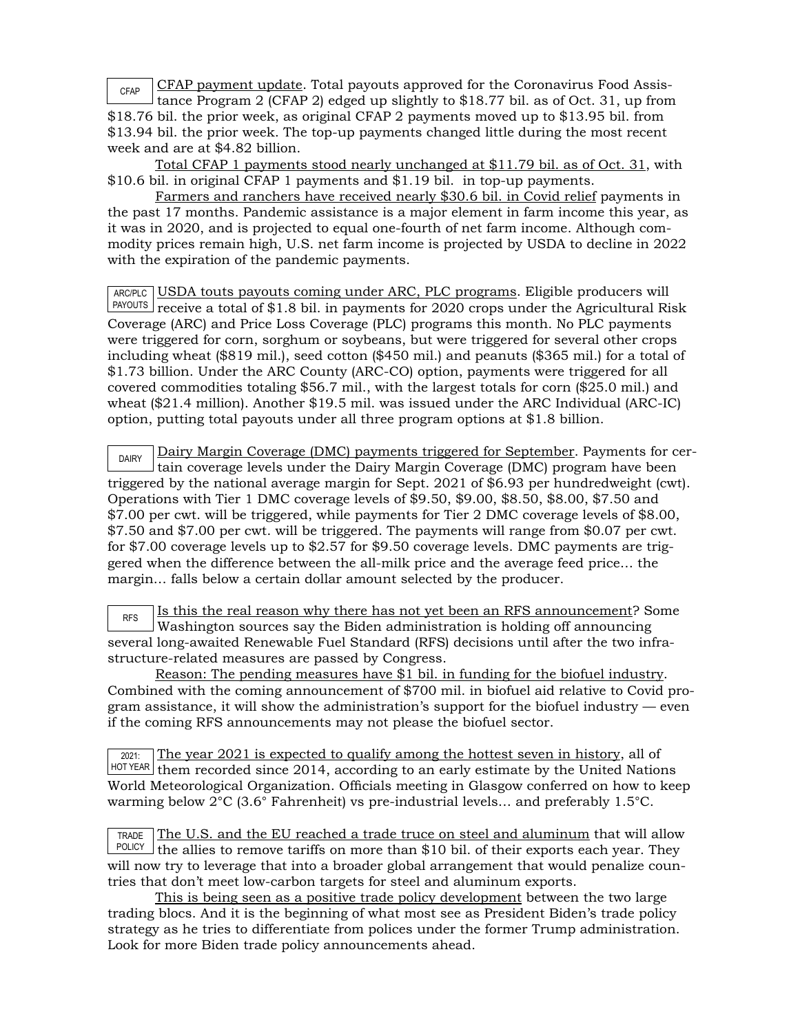CFAP payment update. Total payouts approved for the Coronavirus Food Assistance Program 2 (CFAP 2) edged up slightly to \$18.77 bil. as of Oct. 31, up from \$18.76 bil. the prior week, as original CFAP 2 payments moved up to \$13.95 bil. from \$13.94 bil. the prior week. The top-up payments changed little during the most recent week and are at \$4.82 billion. CFAP

Total CFAP 1 payments stood nearly unchanged at \$11.79 bil. as of Oct. 31, with \$10.6 bil. in original CFAP 1 payments and \$1.19 bil. in top-up payments.

Farmers and ranchers have received nearly \$30.6 bil. in Covid relief payments in the past 17 months. Pandemic assistance is a major element in farm income this year, as it was in 2020, and is projected to equal one-fourth of net farm income. Although commodity prices remain high, U.S. net farm income is projected by USDA to decline in 2022 with the expiration of the pandemic payments.

ARC/PLC USDA touts payouts coming under ARC, PLC programs. Eligible producers will PAYOUTS] receive a total of \$1.8 bil. in payments for 2020 crops under the Agricultural Risk Coverage (ARC) and Price Loss Coverage (PLC) programs this month. No PLC payments were triggered for corn, sorghum or soybeans, but were triggered for several other crops including wheat (\$819 mil.), seed cotton (\$450 mil.) and peanuts (\$365 mil.) for a total of \$1.73 billion. Under the ARC County (ARC-CO) option, payments were triggered for all covered commodities totaling \$56.7 mil., with the largest totals for corn (\$25.0 mil.) and wheat (\$21.4 million). Another \$19.5 mil. was issued under the ARC Individual (ARC-IC) option, putting total payouts under all three program options at \$1.8 billion.

DAIRY Dairy Margin Coverage (DMC) payments triggered for September. Payments for certain coverage levels under the Dairy Margin Coverage (DMC) program have been triggered by the national average margin for Sept. 2021 of \$6.93 per hundredweight (cwt). Operations with Tier 1 DMC coverage levels of \$9.50, \$9.00, \$8.50, \$8.00, \$7.50 and \$7.00 per cwt. will be triggered, while payments for Tier 2 DMC coverage levels of \$8.00, \$7.50 and \$7.00 per cwt. will be triggered. The payments will range from \$0.07 per cwt. for \$7.00 coverage levels up to \$2.57 for \$9.50 coverage levels. DMC payments are triggered when the difference between the all-milk price and the average feed price… the margin… falls below a certain dollar amount selected by the producer.

 $\overline{R_{\text{RFS}}}$  Is this the real reason why there has not yet been an RFS announcement? Some Washington sources say the Biden administration is holding off announcing several long-awaited Renewable Fuel Standard (RFS) decisions until after the two infrastructure-related measures are passed by Congress.

Reason: The pending measures have \$1 bil. in funding for the biofuel industry. Combined with the coming announcement of \$700 mil. in biofuel aid relative to Covid program assistance, it will show the administration's support for the biofuel industry  $-$  even if the coming RFS announcements may not please the biofuel sector.

2021: HOTYEAR] them recorded since 2014, according to an early estimate by the United Nations The year 2021 is expected to qualify among the hottest seven in history, all of World Meteorological Organization. Officials meeting in Glasgow conferred on how to keep warming below 2°C (3.6° Fahrenheit) vs pre-industrial levels… and preferably 1.5°C.

TRADE  $POLICY$  the allies to remove tariffs on more than \$10 bil. of their exports each year. They The U.S. and the EU reached a trade truce on steel and aluminum that will allow will now try to leverage that into a broader global arrangement that would penalize countries that don't meet low-carbon targets for steel and aluminum exports.

This is being seen as a positive trade policy development between the two large trading blocs. And it is the beginning of what most see as President Biden's trade policy strategy as he tries to differentiate from polices under the former Trump administration. Look for more Biden trade policy announcements ahead.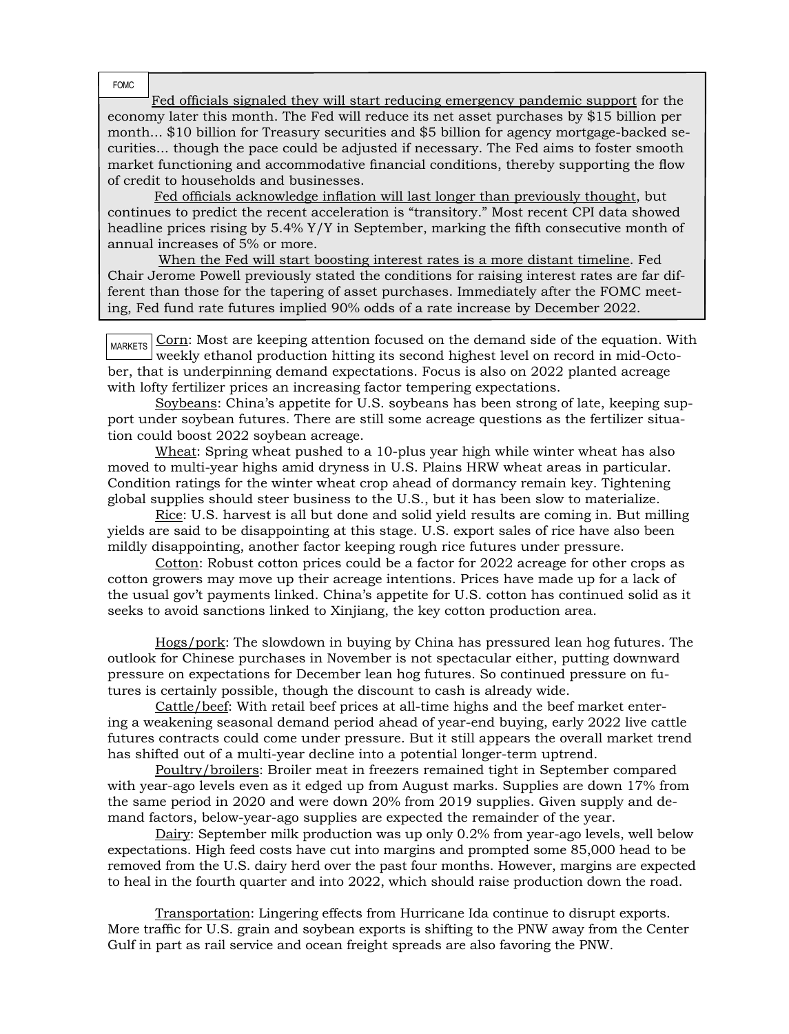FOMC

Fed officials signaled they will start reducing emergency pandemic support for the economy later this month. The Fed will reduce its net asset purchases by \$15 billion per month... \$10 billion for Treasury securities and \$5 billion for agency mortgage-backed securities... though the pace could be adjusted if necessary. The Fed aims to foster smooth market functioning and accommodative financial conditions, thereby supporting the flow of credit to households and businesses.

 Fed officials acknowledge inflation will last longer than previously thought, but continues to predict the recent acceleration is "transitory." Most recent CPI data showed headline prices rising by 5.4% Y/Y in September, marking the fifth consecutive month of annual increases of 5% or more.

 When the Fed will start boosting interest rates is a more distant timeline. Fed Chair Jerome Powell previously stated the conditions for raising interest rates are far different than those for the tapering of asset purchases. Immediately after the FOMC meeting, Fed fund rate futures implied 90% odds of a rate increase by December 2022.

 $_{\text{MARKETS}}$   $\boxed{\text{Corn}}$ : Most are keeping attention focused on the demand side of the equation. With weekly ethanol production hitting its second highest level on record in mid-October, that is underpinning demand expectations. Focus is also on 2022 planted acreage with lofty fertilizer prices an increasing factor tempering expectations.

Soybeans: China's appetite for U.S. soybeans has been strong of late, keeping support under soybean futures. There are still some acreage questions as the fertilizer situation could boost 2022 soybean acreage.

Wheat: Spring wheat pushed to a 10-plus year high while winter wheat has also moved to multi-year highs amid dryness in U.S. Plains HRW wheat areas in particular. Condition ratings for the winter wheat crop ahead of dormancy remain key. Tightening global supplies should steer business to the U.S., but it has been slow to materialize.

Rice: U.S. harvest is all but done and solid yield results are coming in. But milling yields are said to be disappointing at this stage. U.S. export sales of rice have also been mildly disappointing, another factor keeping rough rice futures under pressure.

Cotton: Robust cotton prices could be a factor for 2022 acreage for other crops as cotton growers may move up their acreage intentions. Prices have made up for a lack of the usual gov't payments linked. China's appetite for U.S. cotton has continued solid as it seeks to avoid sanctions linked to Xinjiang, the key cotton production area.

Hogs/pork: The slowdown in buying by China has pressured lean hog futures. The outlook for Chinese purchases in November is not spectacular either, putting downward pressure on expectations for December lean hog futures. So continued pressure on futures is certainly possible, though the discount to cash is already wide.

Cattle/beef: With retail beef prices at all-time highs and the beef market entering a weakening seasonal demand period ahead of year-end buying, early 2022 live cattle futures contracts could come under pressure. But it still appears the overall market trend has shifted out of a multi-year decline into a potential longer-term uptrend.

Poultry/broilers: Broiler meat in freezers remained tight in September compared with year-ago levels even as it edged up from August marks. Supplies are down 17% from the same period in 2020 and were down 20% from 2019 supplies. Given supply and demand factors, below-year-ago supplies are expected the remainder of the year.

Dairy: September milk production was up only 0.2% from year-ago levels, well below expectations. High feed costs have cut into margins and prompted some 85,000 head to be removed from the U.S. dairy herd over the past four months. However, margins are expected to heal in the fourth quarter and into 2022, which should raise production down the road.

Transportation: Lingering effects from Hurricane Ida continue to disrupt exports. More traffic for U.S. grain and soybean exports is shifting to the PNW away from the Center Gulf in part as rail service and ocean freight spreads are also favoring the PNW.